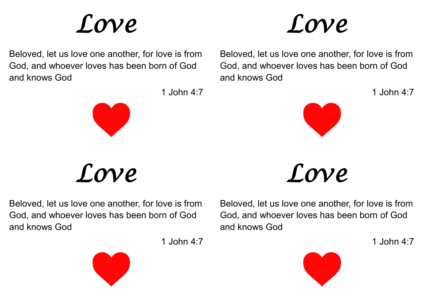## *Love*



Beloved, let us love one another, for love is from God, and whoever loves has been born of God and knows God



*Love* 

Beloved, let us love one another, for love is from God, and whoever loves has been born of God and knows God





1 John 4:7



*Love* 

Beloved, let us love one another, for love is from God, and whoever loves has been born of God and knows God

1 John 4:7



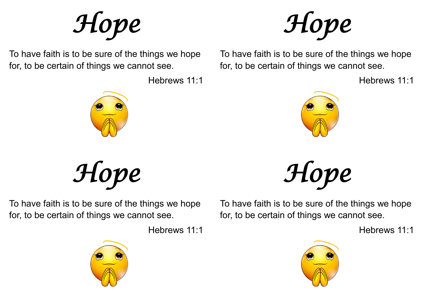*Hope* 

To have faith is to be sure of the things we hope for, to be certain of things we cannot see.

Hebrews 11:1



*Hope* 

To have faith is to be sure of the things we hope for, to be certain of things we cannot see.

Hebrews 11:1



*Hope* 

To have faith is to be sure of the things we hope for, to be certain of things we cannot see.

Hebrews 11:1



*Hope* 

To have faith is to be sure of the things we hope for, to be certain of things we cannot see.

Hebrews 11:1

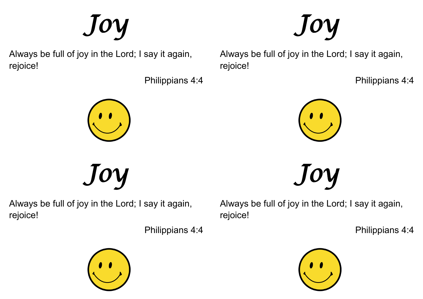Always be full of joy in the Lord; I say it again, rejoice!

*Joy* 

Philippians 4:4

Always be full of joy in the Lord; I say it again, rejoice!

Philippians 4:4



Always be full of joy in the Lord; I say it again, rejoice!

*Joy* 

Philippians 4:4



*Joy*  Always be full of joy in the Lord; I say it again, rejoice!

Philippians 4:4









*Joy* 

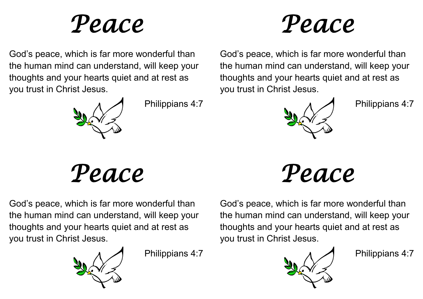## *Peace*



God's peace, which is far more wonderful than the human mind can understand, will keep your thoughts and your hearts quiet and at rest as you trust in Christ Jesus.



Philippians 4:7

*Peace* 

God's peace, which is far more wonderful than the human mind can understand, will keep your thoughts and your hearts quiet and at rest as you trust in Christ Jesus.



Philippians 4:7

God's peace, which is far more wonderful than the human mind can understand, will keep your thoughts and your hearts quiet and at rest as you trust in Christ Jesus.



Philippians 4:7

*Peace* 

God's peace, which is far more wonderful than the human mind can understand, will keep your thoughts and your hearts quiet and at rest as you trust in Christ Jesus.



Philippians 4:7